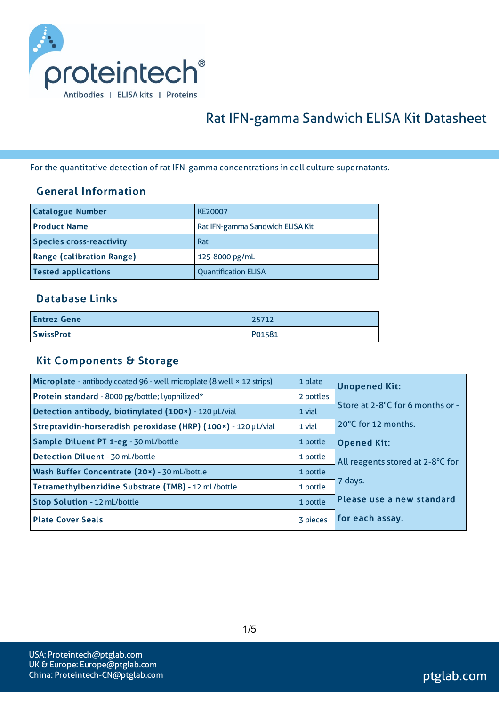

# Rat IFN-gamma Sandwich ELISA Kit Datasheet

For the quantitative detection of rat IFN-gamma concentrations in cell culture supernatants.

### General Information

| <b>Catalogue Number</b>          | <b>KE20007</b>                   |
|----------------------------------|----------------------------------|
| <b>Product Name</b>              | Rat IFN-gamma Sandwich ELISA Kit |
| <b>Species cross-reactivity</b>  | Rat                              |
| <b>Range (calibration Range)</b> | 125-8000 pg/mL                   |
| <b>Tested applications</b>       | <b>Quantification ELISA</b>      |

#### Database Links

| <b>Entrez Gene</b> | 25712  |
|--------------------|--------|
| <b>SwissProt</b>   | P01581 |

#### Kit Components & Storage

| Microplate - antibody coated 96 - well microplate (8 well × 12 strips) | 1 plate   | <b>Unopened Kit:</b>             |
|------------------------------------------------------------------------|-----------|----------------------------------|
| Protein standard - 8000 pg/bottle; lyophilized*                        | 2 bottles |                                  |
| Detection antibody, biotinylated (100x) - 120 µL/vial                  | 1 vial    | Store at 2-8°C for 6 months or - |
| Streptavidin-horseradish peroxidase (HRP) (100x) - 120 µL/vial         | 1 vial    | 20°C for 12 months.              |
| Sample Diluent PT 1-eg - 30 mL/bottle                                  | 1 bottle  | <b>Opened Kit:</b>               |
| Detection Diluent - 30 mL/bottle                                       | 1 bottle  | All reagents stored at 2-8°C for |
| Wash Buffer Concentrate (20x) - 30 mL/bottle                           | 1 bottle  |                                  |
| Tetramethylbenzidine Substrate (TMB) - 12 mL/bottle                    | 1 bottle  | 7 days.                          |
| Stop Solution - 12 mL/bottle                                           | 1 bottle  | Please use a new standard        |
| <b>Plate Cover Seals</b>                                               | 3 pieces  | for each assay.                  |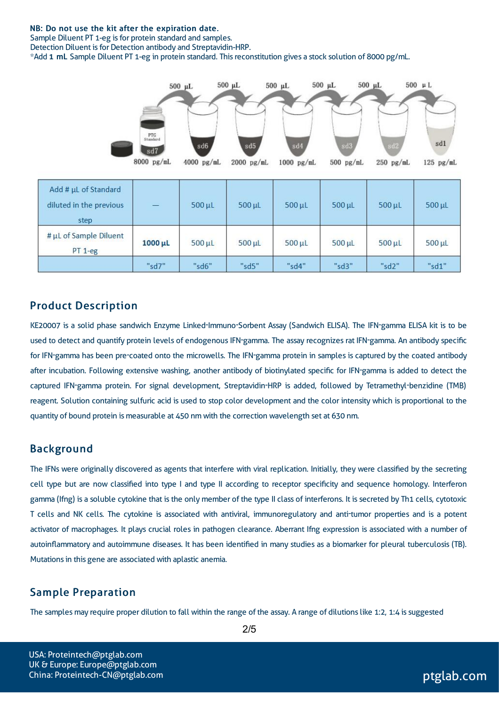#### NB: Do not use the kit after the expiration date.

Sample Diluent PT 1-eg is for protein standard and samples.

Detection Diluent is for Detection antibody and Streptavidin-HRP.

\*Add 1 mL Sample Diluent PT 1-eg in protein standard. Thisreconstitution gives a stock solution of 8000 pg/mL.



#### Product Description

KE20007 is a solid phase sandwich Enzyme Linked-Immuno-Sorbent Assay (Sandwich ELISA). The IFN-gamma ELISA kit is to be used to detect and quantify protein levels of endogenous IFN-gamma. The assay recognizes rat IFN-gamma. An antibody specific for IFN-gamma has been pre-coated onto the microwells. The IFN-gamma protein in samples is captured by the coated antibody after incubation. Following extensive washing, another antibody of biotinylated specific for IFN-gamma is added to detect the captured IFN-gamma protein. For signal development, Streptavidin-HRP is added, followed by Tetramethyl-benzidine (TMB) reagent. Solution containing sulfuric acid is used to stop color development and the color intensity which is proportional to the quantity of bound protein is measurable at 450 nm with the correction wavelength set at 630 nm.

#### Background

The IFNs were originally discovered as agents that interfere with viral replication. Initially, they were classified by the secreting cell type but are now classified into type I and type II according to receptor specificity and sequence homology. Interferon gamma (Ifng) is a soluble cytokine that is the only member of the type II class of interferons. It is secreted by Th1 cells, cytotoxic T cells and NK cells. The cytokine is associated with antiviral, immunoregulatory and anti-tumor properties and is a potent activator of macrophages. It plays crucial roles in pathogen clearance. Aberrant Ifng expression is associated with a number of autoinflammatory and autoimmune diseases. It has been identified in many studies as a biomarker for pleural tuberculosis (TB). Mutations in this gene are associated with aplastic anemia.

#### Sample Preparation

The samples may require proper dilution to fall within the range of the assay. A range of dilutions like 1:2, 1:4 is suggested

USA: Proteintech@ptglab.com UK & Europe: Europe@ptglab.com China: Proteintech-CN@ptglab.com and ptglab.com ptglab.com ptglab.com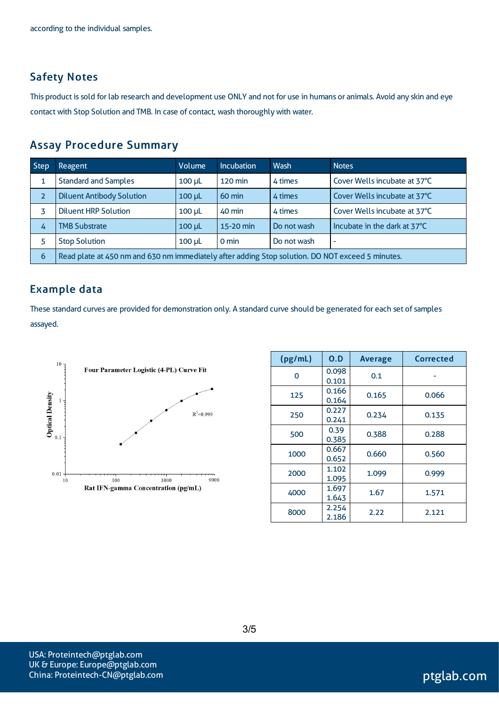### Safety Notes

This product is sold for lab research and development use ONLY and not for use in humans or animals. Avoid any skin and eye contact with Stop Solution and TMB. In case of contact, wash thoroughly with water.

### Assay Procedure Summary

| <b>Step</b> | <b>Reagent</b>                                                                                   | Volume                                      | <b>Incubation</b> | Wash                         | <b>Notes</b>                 |  |
|-------------|--------------------------------------------------------------------------------------------------|---------------------------------------------|-------------------|------------------------------|------------------------------|--|
|             | <b>Standard and Samples</b>                                                                      | $120 \text{ min}$<br>4 times<br>$100 \mu L$ |                   | Cover Wells incubate at 37°C |                              |  |
|             | <b>Diluent Antibody Solution</b>                                                                 | $100$ $\mu$                                 | $60 \text{ min}$  | 4 times                      | Cover Wells incubate at 37°C |  |
|             | <b>Diluent HRP Solution</b>                                                                      | $100 \mu L$                                 | 40 min            | 4 times                      | Cover Wells incubate at 37°C |  |
| 4           | <b>TMB Substrate</b>                                                                             | $100$ $\mu$                                 | 15-20 min         | Do not wash                  | Incubate in the dark at 37°C |  |
|             | <b>Stop Solution</b>                                                                             | $100$ $\mu$                                 | $0 \text{ min}$   | Do not wash                  | ٠                            |  |
| 6           | Read plate at 450 nm and 630 nm immediately after adding Stop solution. DO NOT exceed 5 minutes. |                                             |                   |                              |                              |  |

### Example data

These standard curves are provided for demonstration only. A standard curve should be generated for each set of samples assayed.



| (pg/mL) | O.D            | <b>Average</b> | Corrected |
|---------|----------------|----------------|-----------|
| Ω       | 0.098<br>0.101 | 0.1            |           |
| 125     | 0.166<br>0.164 | 0.165          | 0.066     |
| 250     | 0.227<br>0.241 | 0.234          | 0.135     |
| 500     | 0.39<br>0.385  | 0.388          | 0.288     |
| 1000    | 0.667<br>0.652 | 0.660          | 0.560     |
| 2000    | 1.102<br>1.095 | 1.099          | 0.999     |
| 4000    | 1.697<br>1.643 | 1.67           | 1.571     |
| 8000    | 2.254<br>2.186 | 2.22           | 2.121     |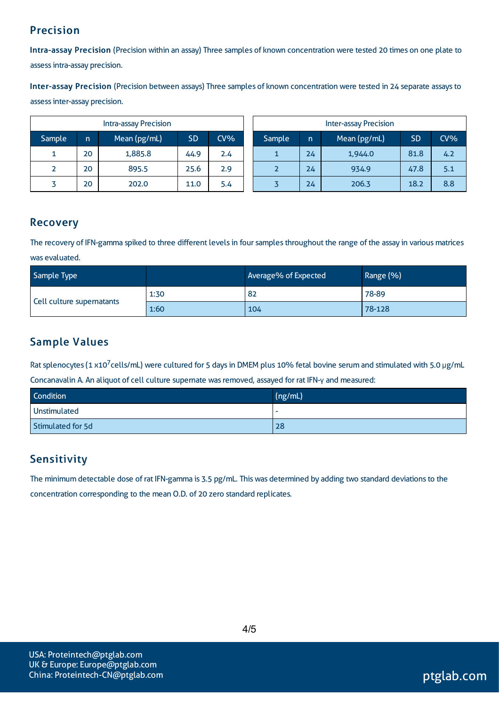# Precision

Intra-assay Precision (Precision within an assay) Three samples of known concentration were tested 20 times on one plate to assessintra-assay precision.

Inter-assay Precision (Precision between assays) Three samples of known concentration were tested in 24 separate assaysto assessinter-assay precision.

|        |    | Intra-assay Precision |           |        |        |    | <b>Inter-assay Precision</b> |           |     |
|--------|----|-----------------------|-----------|--------|--------|----|------------------------------|-----------|-----|
| Sample | n  | Mean (pg/mL)          | <b>SD</b> | $CV\%$ | Sample | n  | Mean (pg/mL)                 | <b>SD</b> | CV% |
| л.     | 20 | 1,885.8               | 44.9      | 2.4    |        | 24 | 1,944.0                      | 81.8      | 4.2 |
|        | 20 | 895.5                 | 25.6      | 2.9    |        | 24 | 934.9                        | 47.8      | 5.1 |
|        | 20 | 202.0                 | 11.0      | 5.4    |        | 24 | 206.3                        | 18.2      | 8.8 |

### Recovery

The recovery of IFN-gamma spiked to three different levels in four samples throughout the range of the assay in various matrices was evaluated.

| Sample Type               |      | Average% of Expected | Range (%) |
|---------------------------|------|----------------------|-----------|
| Cell culture supernatants | 1:30 | 82                   | 78-89     |
|                           | 1:60 | 104                  | 78-128    |

# Sample Values

Rat splenocytes (1 x10<sup>7</sup>cells/mL) were cultured for 5 days in DMEM plus 10% fetal bovine serum and stimulated with 5.0 μg/mL Concanavalin A. An aliquot of cell culture supernate wasremoved, assayed for rat IFN-γ and measured:

| Condition         | (ng/mL) |
|-------------------|---------|
| Unstimulated      |         |
| Stimulated for 5d | 28      |

# **Sensitivity**

The minimum detectable dose of rat IFN-gamma is 3.5 pg/mL. This was determined by adding two standard deviations to the concentration corresponding to the mean O.D. of 20 zero standard replicates.